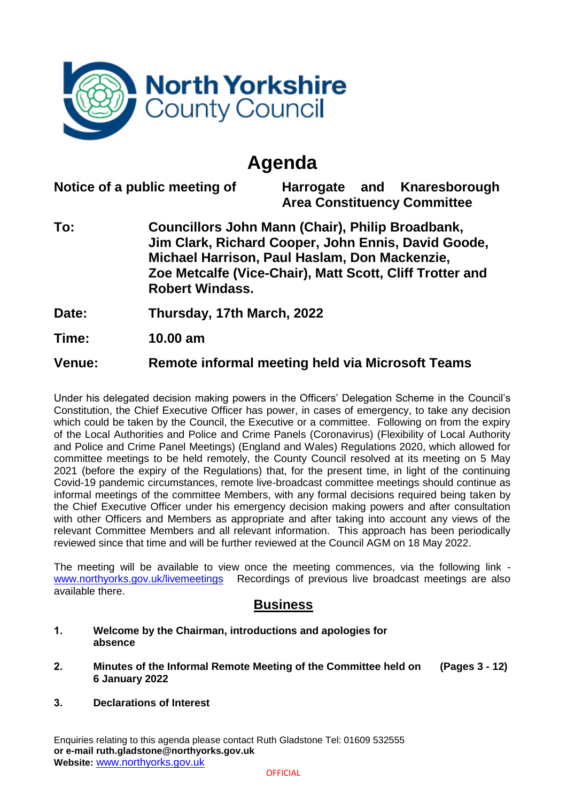

# **Agenda**

**Notice of a public meeting of Harrogate and Knaresborough Area Constituency Committee To: Councillors John Mann (Chair), Philip Broadbank, Jim Clark, Richard Cooper, John Ennis, David Goode, Michael Harrison, Paul Haslam, Don Mackenzie, Zoe Metcalfe (Vice-Chair), Matt Scott, Cliff Trotter and Robert Windass. Date: Thursday, 17th March, 2022**

**Time: 10.00 am**

**Venue: Remote informal meeting held via Microsoft Teams**

Under his delegated decision making powers in the Officers' Delegation Scheme in the Council's Constitution, the Chief Executive Officer has power, in cases of emergency, to take any decision which could be taken by the Council, the Executive or a committee. Following on from the expiry of the Local Authorities and Police and Crime Panels (Coronavirus) (Flexibility of Local Authority and Police and Crime Panel Meetings) (England and Wales) Regulations 2020, which allowed for committee meetings to be held remotely, the County Council resolved at its meeting on 5 May 2021 (before the expiry of the Regulations) that, for the present time, in light of the continuing Covid-19 pandemic circumstances, remote live-broadcast committee meetings should continue as informal meetings of the committee Members, with any formal decisions required being taken by the Chief Executive Officer under his emergency decision making powers and after consultation with other Officers and Members as appropriate and after taking into account any views of the relevant Committee Members and all relevant information. This approach has been periodically reviewed since that time and will be further reviewed at the Council AGM on 18 May 2022.

The meeting will be available to view once the meeting commences, via the following link [www.northyorks.gov.uk/livemeetings](http://www.northyorks.gov.uk/livemeetings) Recordings of previous live broadcast meetings are also available there.

## **Business**

- **1. Welcome by the Chairman, introductions and apologies for absence**
- **2. Minutes of the Informal Remote Meeting of the Committee held on 6 January 2022 (Pages 3 - 12)**
- **3. Declarations of Interest**

Enquiries relating to this agenda please contact Ruth Gladstone Tel: 01609 532555 **or e-mail ruth.gladstone@northyorks.gov.uk Website:** [www.northyorks.gov.uk](http://www.northyorks.gov.uk/)